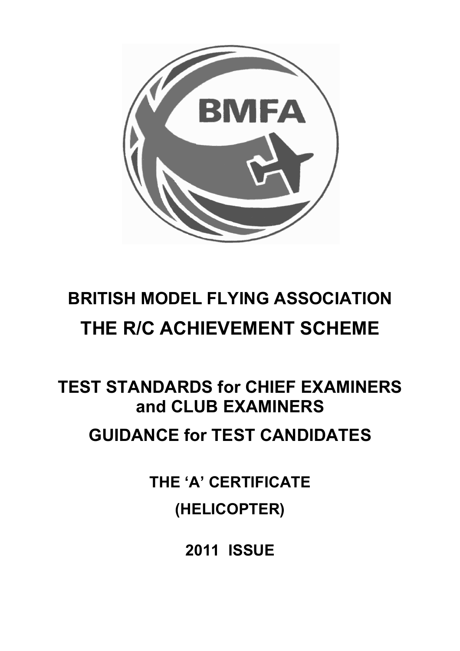

# **BRITISH MODEL FLYING ASSOCIATION THE R/C ACHIEVEMENT SCHEME**

# **TEST STANDARDS for CHIEF EXAMINERS and CLUB EXAMINERS**

# **GUIDANCE for TEST CANDIDATES**

**THE 'A' CERTIFICATE (HELICOPTER)** 

**2011 ISSUE**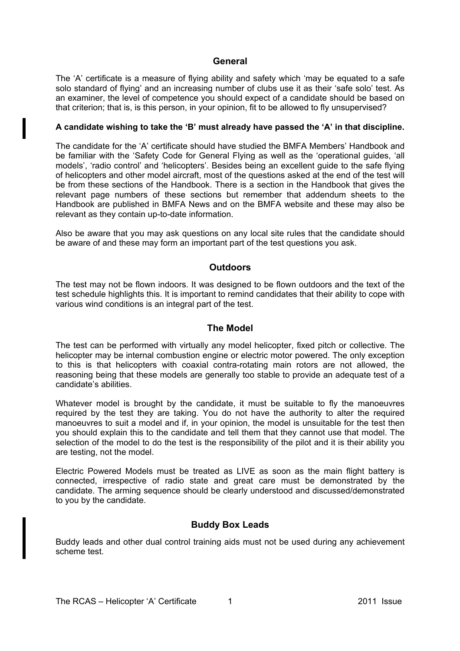#### **General**

The 'A' certificate is a measure of flying ability and safety which 'may be equated to a safe solo standard of flying' and an increasing number of clubs use it as their 'safe solo' test. As an examiner, the level of competence you should expect of a candidate should be based on that criterion; that is, is this person, in your opinion, fit to be allowed to fly unsupervised?

#### **A candidate wishing to take the 'B' must already have passed the 'A' in that discipline.**

The candidate for the 'A' certificate should have studied the BMFA Members' Handbook and be familiar with the 'Safety Code for General Flying as well as the 'operational guides, 'all models', 'radio control' and 'helicopters'. Besides being an excellent guide to the safe flying of helicopters and other model aircraft, most of the questions asked at the end of the test will be from these sections of the Handbook. There is a section in the Handbook that gives the relevant page numbers of these sections but remember that addendum sheets to the Handbook are published in BMFA News and on the BMFA website and these may also be relevant as they contain up-to-date information.

Also be aware that you may ask questions on any local site rules that the candidate should be aware of and these may form an important part of the test questions you ask.

#### **Outdoors**

The test may not be flown indoors. It was designed to be flown outdoors and the text of the test schedule highlights this. It is important to remind candidates that their ability to cope with various wind conditions is an integral part of the test.

#### **The Model**

The test can be performed with virtually any model helicopter, fixed pitch or collective. The helicopter may be internal combustion engine or electric motor powered. The only exception to this is that helicopters with coaxial contra-rotating main rotors are not allowed, the reasoning being that these models are generally too stable to provide an adequate test of a candidate's abilities.

Whatever model is brought by the candidate, it must be suitable to fly the manoeuvres required by the test they are taking. You do not have the authority to alter the required manoeuvres to suit a model and if, in your opinion, the model is unsuitable for the test then you should explain this to the candidate and tell them that they cannot use that model. The selection of the model to do the test is the responsibility of the pilot and it is their ability you are testing, not the model.

Electric Powered Models must be treated as LIVE as soon as the main flight battery is connected, irrespective of radio state and great care must be demonstrated by the candidate. The arming sequence should be clearly understood and discussed/demonstrated to you by the candidate.

#### **Buddy Box Leads**

Buddy leads and other dual control training aids must not be used during any achievement scheme test.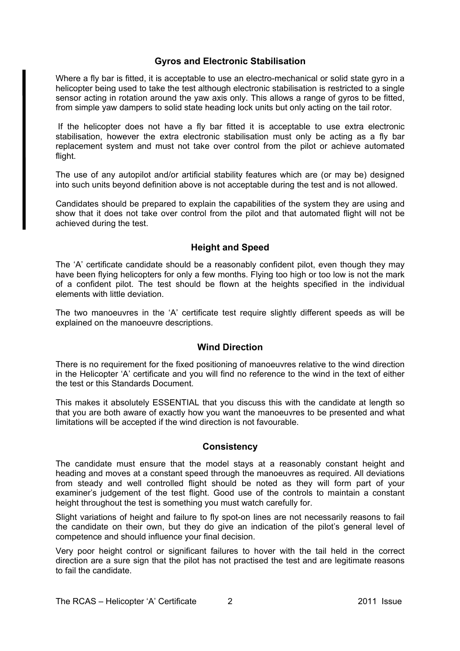#### **Gyros and Electronic Stabilisation**

Where a fly bar is fitted, it is acceptable to use an electro-mechanical or solid state gyro in a helicopter being used to take the test although electronic stabilisation is restricted to a single sensor acting in rotation around the yaw axis only. This allows a range of gyros to be fitted, from simple yaw dampers to solid state heading lock units but only acting on the tail rotor.

 If the helicopter does not have a fly bar fitted it is acceptable to use extra electronic stabilisation, however the extra electronic stabilisation must only be acting as a fly bar replacement system and must not take over control from the pilot or achieve automated flight.

The use of any autopilot and/or artificial stability features which are (or may be) designed into such units beyond definition above is not acceptable during the test and is not allowed.

Candidates should be prepared to explain the capabilities of the system they are using and show that it does not take over control from the pilot and that automated flight will not be achieved during the test.

#### **Height and Speed**

The 'A' certificate candidate should be a reasonably confident pilot, even though they may have been flying helicopters for only a few months. Flying too high or too low is not the mark of a confident pilot. The test should be flown at the heights specified in the individual elements with little deviation.

The two manoeuvres in the 'A' certificate test require slightly different speeds as will be explained on the manoeuvre descriptions.

#### **Wind Direction**

There is no requirement for the fixed positioning of manoeuvres relative to the wind direction in the Helicopter 'A' certificate and you will find no reference to the wind in the text of either the test or this Standards Document.

This makes it absolutely ESSENTIAL that you discuss this with the candidate at length so that you are both aware of exactly how you want the manoeuvres to be presented and what limitations will be accepted if the wind direction is not favourable.

#### **Consistency**

The candidate must ensure that the model stays at a reasonably constant height and heading and moves at a constant speed through the manoeuvres as required. All deviations from steady and well controlled flight should be noted as they will form part of your examiner's judgement of the test flight. Good use of the controls to maintain a constant height throughout the test is something you must watch carefully for.

Slight variations of height and failure to fly spot-on lines are not necessarily reasons to fail the candidate on their own, but they do give an indication of the pilot's general level of competence and should influence your final decision.

Very poor height control or significant failures to hover with the tail held in the correct direction are a sure sign that the pilot has not practised the test and are legitimate reasons to fail the candidate.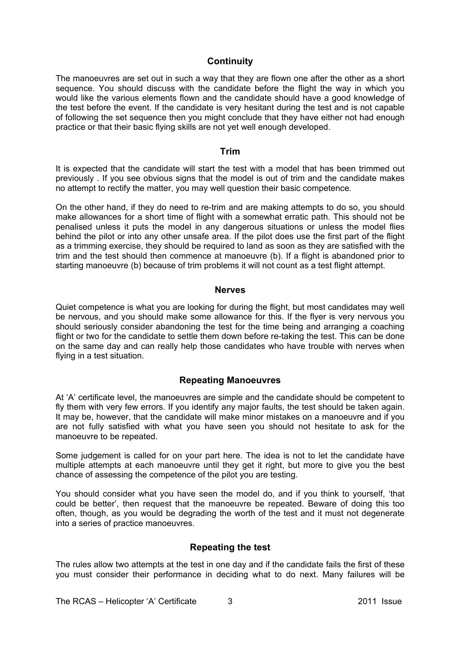#### **Continuity**

The manoeuvres are set out in such a way that they are flown one after the other as a short sequence. You should discuss with the candidate before the flight the way in which you would like the various elements flown and the candidate should have a good knowledge of the test before the event. If the candidate is very hesitant during the test and is not capable of following the set sequence then you might conclude that they have either not had enough practice or that their basic flying skills are not yet well enough developed.

#### **Trim**

It is expected that the candidate will start the test with a model that has been trimmed out previously . If you see obvious signs that the model is out of trim and the candidate makes no attempt to rectify the matter, you may well question their basic competence.

On the other hand, if they do need to re-trim and are making attempts to do so, you should make allowances for a short time of flight with a somewhat erratic path. This should not be penalised unless it puts the model in any dangerous situations or unless the model flies behind the pilot or into any other unsafe area. If the pilot does use the first part of the flight as a trimming exercise, they should be required to land as soon as they are satisfied with the trim and the test should then commence at manoeuvre (b). If a flight is abandoned prior to starting manoeuvre (b) because of trim problems it will not count as a test flight attempt.

#### **Nerves**

Quiet competence is what you are looking for during the flight, but most candidates may well be nervous, and you should make some allowance for this. If the flyer is very nervous you should seriously consider abandoning the test for the time being and arranging a coaching flight or two for the candidate to settle them down before re-taking the test. This can be done on the same day and can really help those candidates who have trouble with nerves when flying in a test situation.

#### **Repeating Manoeuvres**

At 'A' certificate level, the manoeuvres are simple and the candidate should be competent to fly them with very few errors. If you identify any major faults, the test should be taken again. It may be, however, that the candidate will make minor mistakes on a manoeuvre and if you are not fully satisfied with what you have seen you should not hesitate to ask for the manoeuvre to be repeated.

Some judgement is called for on your part here. The idea is not to let the candidate have multiple attempts at each manoeuvre until they get it right, but more to give you the best chance of assessing the competence of the pilot you are testing.

You should consider what you have seen the model do, and if you think to yourself, 'that could be better', then request that the manoeuvre be repeated. Beware of doing this too often, though, as you would be degrading the worth of the test and it must not degenerate into a series of practice manoeuvres.

#### **Repeating the test**

The rules allow two attempts at the test in one day and if the candidate fails the first of these you must consider their performance in deciding what to do next. Many failures will be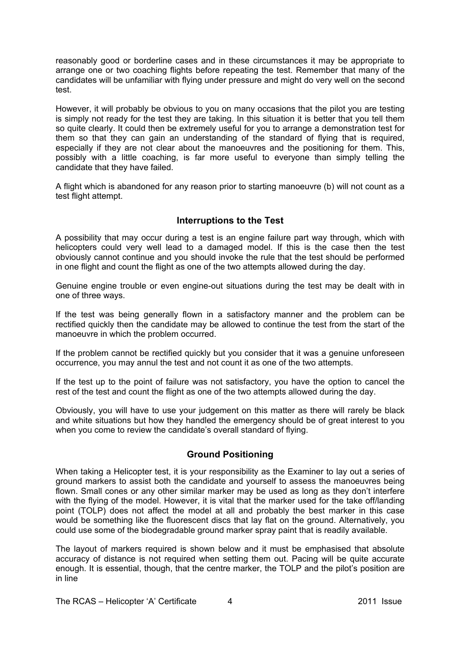reasonably good or borderline cases and in these circumstances it may be appropriate to arrange one or two coaching flights before repeating the test. Remember that many of the candidates will be unfamiliar with flying under pressure and might do very well on the second test.

However, it will probably be obvious to you on many occasions that the pilot you are testing is simply not ready for the test they are taking. In this situation it is better that you tell them so quite clearly. It could then be extremely useful for you to arrange a demonstration test for them so that they can gain an understanding of the standard of flying that is required, especially if they are not clear about the manoeuvres and the positioning for them. This, possibly with a little coaching, is far more useful to everyone than simply telling the candidate that they have failed.

A flight which is abandoned for any reason prior to starting manoeuvre (b) will not count as a test flight attempt.

#### **Interruptions to the Test**

A possibility that may occur during a test is an engine failure part way through, which with helicopters could very well lead to a damaged model. If this is the case then the test obviously cannot continue and you should invoke the rule that the test should be performed in one flight and count the flight as one of the two attempts allowed during the day.

Genuine engine trouble or even engine-out situations during the test may be dealt with in one of three ways.

If the test was being generally flown in a satisfactory manner and the problem can be rectified quickly then the candidate may be allowed to continue the test from the start of the manoeuvre in which the problem occurred.

If the problem cannot be rectified quickly but you consider that it was a genuine unforeseen occurrence, you may annul the test and not count it as one of the two attempts.

If the test up to the point of failure was not satisfactory, you have the option to cancel the rest of the test and count the flight as one of the two attempts allowed during the day.

Obviously, you will have to use your judgement on this matter as there will rarely be black and white situations but how they handled the emergency should be of great interest to you when you come to review the candidate's overall standard of flying.

#### **Ground Positioning**

When taking a Helicopter test, it is your responsibility as the Examiner to lay out a series of ground markers to assist both the candidate and yourself to assess the manoeuvres being flown. Small cones or any other similar marker may be used as long as they don't interfere with the flying of the model. However, it is vital that the marker used for the take off/landing point (TOLP) does not affect the model at all and probably the best marker in this case would be something like the fluorescent discs that lay flat on the ground. Alternatively, you could use some of the biodegradable ground marker spray paint that is readily available.

The layout of markers required is shown below and it must be emphasised that absolute accuracy of distance is not required when setting them out. Pacing will be quite accurate enough. It is essential, though, that the centre marker, the TOLP and the pilot's position are in line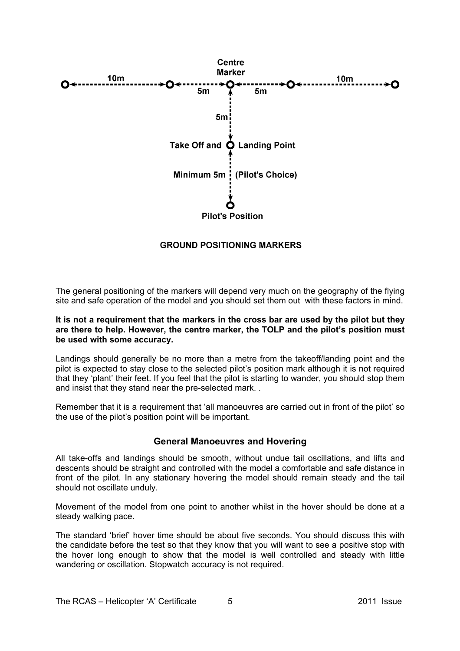

#### **GROUND POSITIONING MARKERS**

The general positioning of the markers will depend very much on the geography of the flying site and safe operation of the model and you should set them out with these factors in mind.

#### **It is not a requirement that the markers in the cross bar are used by the pilot but they are there to help. However, the centre marker, the TOLP and the pilot's position must be used with some accuracy.**

Landings should generally be no more than a metre from the takeoff/landing point and the pilot is expected to stay close to the selected pilot's position mark although it is not required that they 'plant' their feet. If you feel that the pilot is starting to wander, you should stop them and insist that they stand near the pre-selected mark. .

Remember that it is a requirement that 'all manoeuvres are carried out in front of the pilot' so the use of the pilot's position point will be important.

#### **General Manoeuvres and Hovering**

All take-offs and landings should be smooth, without undue tail oscillations, and lifts and descents should be straight and controlled with the model a comfortable and safe distance in front of the pilot. In any stationary hovering the model should remain steady and the tail should not oscillate unduly.

Movement of the model from one point to another whilst in the hover should be done at a steady walking pace.

The standard 'brief' hover time should be about five seconds. You should discuss this with the candidate before the test so that they know that you will want to see a positive stop with the hover long enough to show that the model is well controlled and steady with little wandering or oscillation. Stopwatch accuracy is not required.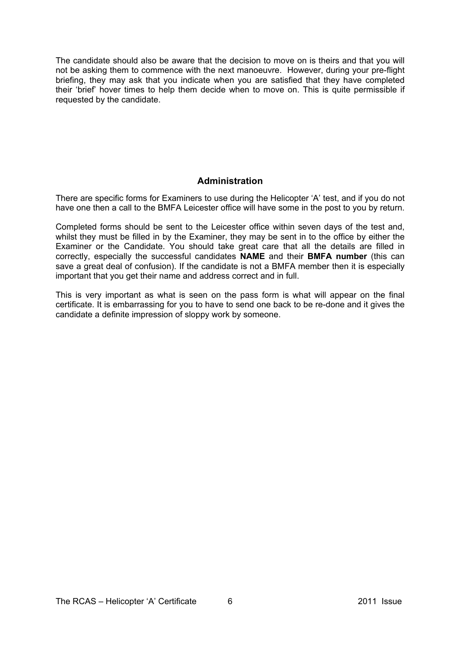The candidate should also be aware that the decision to move on is theirs and that you will not be asking them to commence with the next manoeuvre. However, during your pre-flight briefing, they may ask that you indicate when you are satisfied that they have completed their 'brief' hover times to help them decide when to move on. This is quite permissible if requested by the candidate.

#### **Administration**

There are specific forms for Examiners to use during the Helicopter 'A' test, and if you do not have one then a call to the BMFA Leicester office will have some in the post to you by return.

Completed forms should be sent to the Leicester office within seven days of the test and, whilst they must be filled in by the Examiner, they may be sent in to the office by either the Examiner or the Candidate. You should take great care that all the details are filled in correctly, especially the successful candidates **NAME** and their **BMFA number** (this can save a great deal of confusion). If the candidate is not a BMFA member then it is especially important that you get their name and address correct and in full.

This is very important as what is seen on the pass form is what will appear on the final certificate. It is embarrassing for you to have to send one back to be re-done and it gives the candidate a definite impression of sloppy work by someone.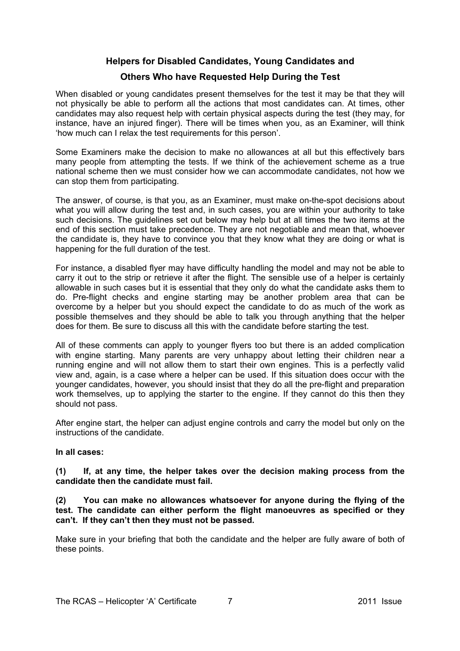#### **Helpers for Disabled Candidates, Young Candidates and**

#### **Others Who have Requested Help During the Test**

When disabled or young candidates present themselves for the test it may be that they will not physically be able to perform all the actions that most candidates can. At times, other candidates may also request help with certain physical aspects during the test (they may, for instance, have an injured finger). There will be times when you, as an Examiner, will think 'how much can I relax the test requirements for this person'.

Some Examiners make the decision to make no allowances at all but this effectively bars many people from attempting the tests. If we think of the achievement scheme as a true national scheme then we must consider how we can accommodate candidates, not how we can stop them from participating.

The answer, of course, is that you, as an Examiner, must make on-the-spot decisions about what you will allow during the test and, in such cases, you are within your authority to take such decisions. The guidelines set out below may help but at all times the two items at the end of this section must take precedence. They are not negotiable and mean that, whoever the candidate is, they have to convince you that they know what they are doing or what is happening for the full duration of the test.

For instance, a disabled flyer may have difficulty handling the model and may not be able to carry it out to the strip or retrieve it after the flight. The sensible use of a helper is certainly allowable in such cases but it is essential that they only do what the candidate asks them to do. Pre-flight checks and engine starting may be another problem area that can be overcome by a helper but you should expect the candidate to do as much of the work as possible themselves and they should be able to talk you through anything that the helper does for them. Be sure to discuss all this with the candidate before starting the test.

All of these comments can apply to younger flyers too but there is an added complication with engine starting. Many parents are very unhappy about letting their children near a running engine and will not allow them to start their own engines. This is a perfectly valid view and, again, is a case where a helper can be used. If this situation does occur with the younger candidates, however, you should insist that they do all the pre-flight and preparation work themselves, up to applying the starter to the engine. If they cannot do this then they should not pass.

After engine start, the helper can adjust engine controls and carry the model but only on the instructions of the candidate.

#### **In all cases:**

#### **(1) If, at any time, the helper takes over the decision making process from the candidate then the candidate must fail.**

#### **(2) You can make no allowances whatsoever for anyone during the flying of the test. The candidate can either perform the flight manoeuvres as specified or they can't. If they can't then they must not be passed.**

Make sure in your briefing that both the candidate and the helper are fully aware of both of these points.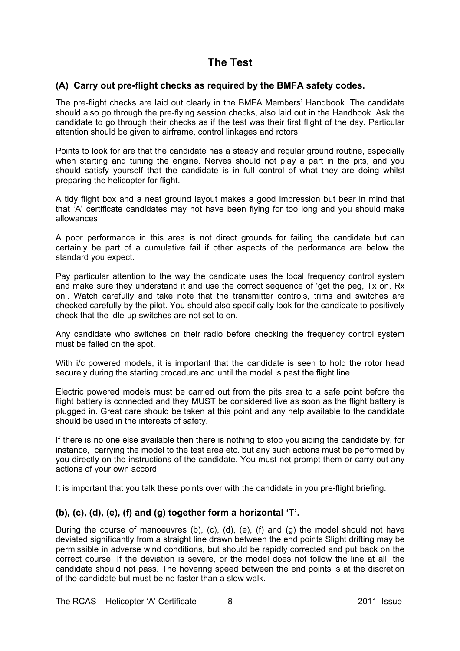## **The Test**

#### **(A) Carry out pre-flight checks as required by the BMFA safety codes.**

The pre-flight checks are laid out clearly in the BMFA Members' Handbook. The candidate should also go through the pre-flying session checks, also laid out in the Handbook. Ask the candidate to go through their checks as if the test was their first flight of the day. Particular attention should be given to airframe, control linkages and rotors.

Points to look for are that the candidate has a steady and regular ground routine, especially when starting and tuning the engine. Nerves should not play a part in the pits, and you should satisfy yourself that the candidate is in full control of what they are doing whilst preparing the helicopter for flight.

A tidy flight box and a neat ground layout makes a good impression but bear in mind that that 'A' certificate candidates may not have been flying for too long and you should make allowances.

A poor performance in this area is not direct grounds for failing the candidate but can certainly be part of a cumulative fail if other aspects of the performance are below the standard you expect.

Pay particular attention to the way the candidate uses the local frequency control system and make sure they understand it and use the correct sequence of 'get the peg, Tx on, Rx on'. Watch carefully and take note that the transmitter controls, trims and switches are checked carefully by the pilot. You should also specifically look for the candidate to positively check that the idle-up switches are not set to on.

Any candidate who switches on their radio before checking the frequency control system must be failed on the spot.

With i/c powered models, it is important that the candidate is seen to hold the rotor head securely during the starting procedure and until the model is past the flight line.

Electric powered models must be carried out from the pits area to a safe point before the flight battery is connected and they MUST be considered live as soon as the flight battery is plugged in. Great care should be taken at this point and any help available to the candidate should be used in the interests of safety.

If there is no one else available then there is nothing to stop you aiding the candidate by, for instance, carrying the model to the test area etc. but any such actions must be performed by you directly on the instructions of the candidate. You must not prompt them or carry out any actions of your own accord.

It is important that you talk these points over with the candidate in you pre-flight briefing.

#### **(b), (c), (d), (e), (f) and (g) together form a horizontal 'T'.**

During the course of manoeuvres (b), (c), (d), (e), (f) and (g) the model should not have deviated significantly from a straight line drawn between the end points Slight drifting may be permissible in adverse wind conditions, but should be rapidly corrected and put back on the correct course. If the deviation is severe, or the model does not follow the line at all, the candidate should not pass. The hovering speed between the end points is at the discretion of the candidate but must be no faster than a slow walk.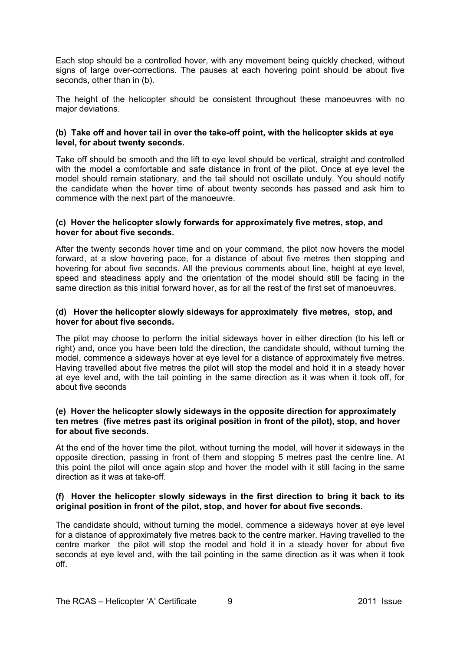Each stop should be a controlled hover, with any movement being quickly checked, without signs of large over-corrections. The pauses at each hovering point should be about five seconds, other than in (b).

The height of the helicopter should be consistent throughout these manoeuvres with no major deviations.

#### **(b) Take off and hover tail in over the take-off point, with the helicopter skids at eye level, for about twenty seconds.**

Take off should be smooth and the lift to eye level should be vertical, straight and controlled with the model a comfortable and safe distance in front of the pilot. Once at eye level the model should remain stationary, and the tail should not oscillate unduly. You should notify the candidate when the hover time of about twenty seconds has passed and ask him to commence with the next part of the manoeuvre.

#### **(c) Hover the helicopter slowly forwards for approximately five metres, stop, and hover for about five seconds.**

After the twenty seconds hover time and on your command, the pilot now hovers the model forward, at a slow hovering pace, for a distance of about five metres then stopping and hovering for about five seconds. All the previous comments about line, height at eye level, speed and steadiness apply and the orientation of the model should still be facing in the same direction as this initial forward hover, as for all the rest of the first set of manoeuvres.

#### **(d) Hover the helicopter slowly sideways for approximately five metres, stop, and hover for about five seconds.**

The pilot may choose to perform the initial sideways hover in either direction (to his left or right) and, once you have been told the direction, the candidate should, without turning the model, commence a sideways hover at eye level for a distance of approximately five metres. Having travelled about five metres the pilot will stop the model and hold it in a steady hover at eye level and, with the tail pointing in the same direction as it was when it took off, for about five seconds

#### **(e) Hover the helicopter slowly sideways in the opposite direction for approximately ten metres (five metres past its original position in front of the pilot), stop, and hover for about five seconds.**

At the end of the hover time the pilot, without turning the model, will hover it sideways in the opposite direction, passing in front of them and stopping 5 metres past the centre line. At this point the pilot will once again stop and hover the model with it still facing in the same direction as it was at take-off.

#### **(f) Hover the helicopter slowly sideways in the first direction to bring it back to its original position in front of the pilot, stop, and hover for about five seconds.**

The candidate should, without turning the model, commence a sideways hover at eye level for a distance of approximately five metres back to the centre marker. Having travelled to the centre marker the pilot will stop the model and hold it in a steady hover for about five seconds at eye level and, with the tail pointing in the same direction as it was when it took off.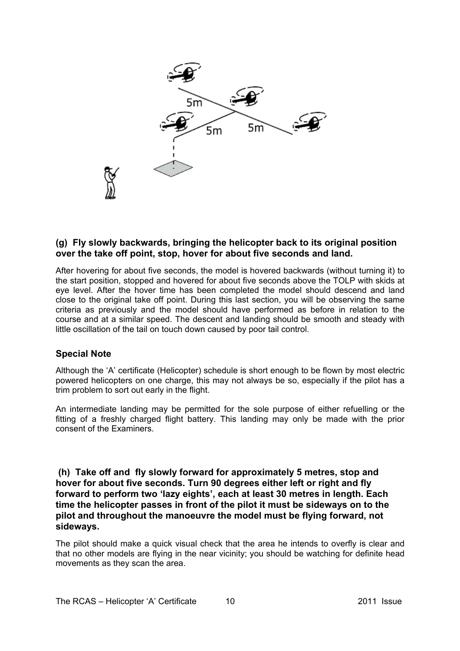

#### **(g) Fly slowly backwards, bringing the helicopter back to its original position over the take off point, stop, hover for about five seconds and land.**

After hovering for about five seconds, the model is hovered backwards (without turning it) to the start position, stopped and hovered for about five seconds above the TOLP with skids at eye level. After the hover time has been completed the model should descend and land close to the original take off point. During this last section, you will be observing the same criteria as previously and the model should have performed as before in relation to the course and at a similar speed. The descent and landing should be smooth and steady with little oscillation of the tail on touch down caused by poor tail control.

#### **Special Note**

Although the 'A' certificate (Helicopter) schedule is short enough to be flown by most electric powered helicopters on one charge, this may not always be so, especially if the pilot has a trim problem to sort out early in the flight.

An intermediate landing may be permitted for the sole purpose of either refuelling or the fitting of a freshly charged flight battery. This landing may only be made with the prior consent of the Examiners.

 **(h) Take off and fly slowly forward for approximately 5 metres, stop and hover for about five seconds. Turn 90 degrees either left or right and fly forward to perform two 'lazy eights', each at least 30 metres in length. Each time the helicopter passes in front of the pilot it must be sideways on to the pilot and throughout the manoeuvre the model must be flying forward, not sideways.** 

The pilot should make a quick visual check that the area he intends to overfly is clear and that no other models are flying in the near vicinity; you should be watching for definite head movements as they scan the area.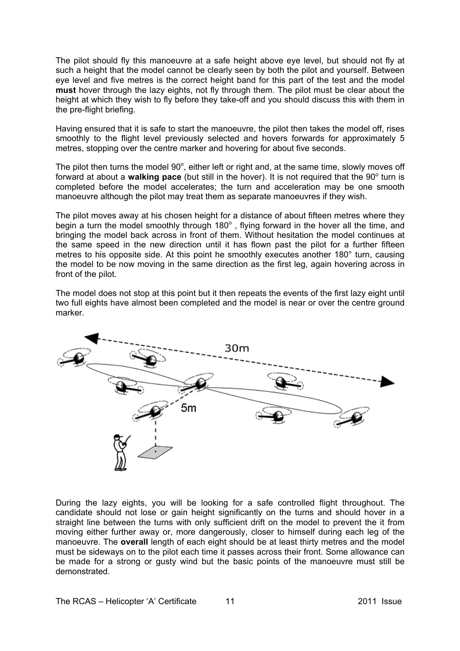The pilot should fly this manoeuvre at a safe height above eye level, but should not fly at such a height that the model cannot be clearly seen by both the pilot and yourself. Between eye level and five metres is the correct height band for this part of the test and the model **must** hover through the lazy eights, not fly through them. The pilot must be clear about the height at which they wish to fly before they take-off and you should discuss this with them in the pre-flight briefing.

Having ensured that it is safe to start the manoeuvre, the pilot then takes the model off, rises smoothly to the flight level previously selected and hovers forwards for approximately 5 metres, stopping over the centre marker and hovering for about five seconds.

The pilot then turns the model  $90^\circ$ , either left or right and, at the same time, slowly moves off forward at about a walking pace (but still in the hover). It is not required that the 90<sup>°</sup> turn is completed before the model accelerates; the turn and acceleration may be one smooth manoeuvre although the pilot may treat them as separate manoeuvres if they wish.

The pilot moves away at his chosen height for a distance of about fifteen metres where they begin a turn the model smoothly through 180 $^{\circ}$  , flying forward in the hover all the time, and bringing the model back across in front of them. Without hesitation the model continues at the same speed in the new direction until it has flown past the pilot for a further fifteen metres to his opposite side. At this point he smoothly executes another 180° turn, causing the model to be now moving in the same direction as the first leg, again hovering across in front of the pilot.

The model does not stop at this point but it then repeats the events of the first lazy eight until two full eights have almost been completed and the model is near or over the centre ground marker.



During the lazy eights, you will be looking for a safe controlled flight throughout. The candidate should not lose or gain height significantly on the turns and should hover in a straight line between the turns with only sufficient drift on the model to prevent the it from moving either further away or, more dangerously, closer to himself during each leg of the manoeuvre. The **overall** length of each eight should be at least thirty metres and the model must be sideways on to the pilot each time it passes across their front. Some allowance can be made for a strong or gusty wind but the basic points of the manoeuvre must still be demonstrated.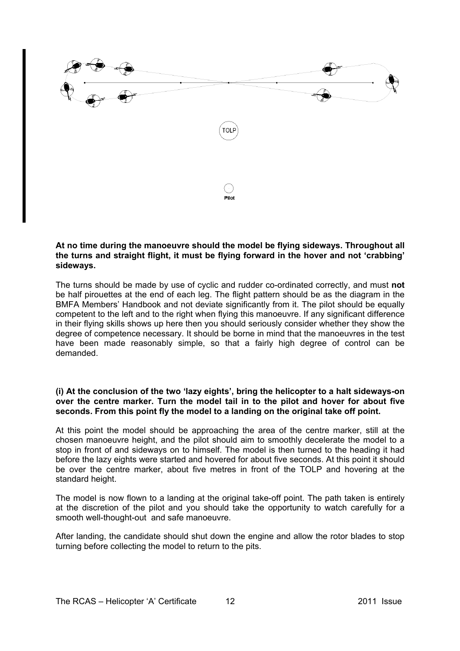

#### **At no time during the manoeuvre should the model be flying sideways. Throughout all the turns and straight flight, it must be flying forward in the hover and not 'crabbing' sideways.**

The turns should be made by use of cyclic and rudder co-ordinated correctly, and must **not** be half pirouettes at the end of each leg. The flight pattern should be as the diagram in the BMFA Members' Handbook and not deviate significantly from it. The pilot should be equally competent to the left and to the right when flying this manoeuvre. If any significant difference in their flying skills shows up here then you should seriously consider whether they show the degree of competence necessary. It should be borne in mind that the manoeuvres in the test have been made reasonably simple, so that a fairly high degree of control can be demanded.

#### **(i) At the conclusion of the two 'lazy eights', bring the helicopter to a halt sideways-on over the centre marker. Turn the model tail in to the pilot and hover for about five seconds. From this point fly the model to a landing on the original take off point.**

At this point the model should be approaching the area of the centre marker, still at the chosen manoeuvre height, and the pilot should aim to smoothly decelerate the model to a stop in front of and sideways on to himself. The model is then turned to the heading it had before the lazy eights were started and hovered for about five seconds. At this point it should be over the centre marker, about five metres in front of the TOLP and hovering at the standard height.

The model is now flown to a landing at the original take-off point. The path taken is entirely at the discretion of the pilot and you should take the opportunity to watch carefully for a smooth well-thought-out and safe manoeuvre.

After landing, the candidate should shut down the engine and allow the rotor blades to stop turning before collecting the model to return to the pits.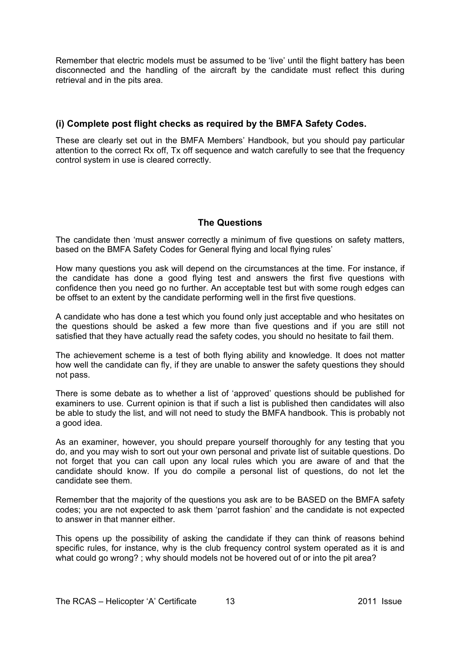Remember that electric models must be assumed to be 'live' until the flight battery has been disconnected and the handling of the aircraft by the candidate must reflect this during retrieval and in the pits area.

#### **(i) Complete post flight checks as required by the BMFA Safety Codes.**

These are clearly set out in the BMFA Members' Handbook, but you should pay particular attention to the correct Rx off, Tx off sequence and watch carefully to see that the frequency control system in use is cleared correctly.

#### **The Questions**

The candidate then 'must answer correctly a minimum of five questions on safety matters, based on the BMFA Safety Codes for General flying and local flying rules'

How many questions you ask will depend on the circumstances at the time. For instance, if the candidate has done a good flying test and answers the first five questions with confidence then you need go no further. An acceptable test but with some rough edges can be offset to an extent by the candidate performing well in the first five questions.

A candidate who has done a test which you found only just acceptable and who hesitates on the questions should be asked a few more than five questions and if you are still not satisfied that they have actually read the safety codes, you should no hesitate to fail them.

The achievement scheme is a test of both flying ability and knowledge. It does not matter how well the candidate can fly, if they are unable to answer the safety questions they should not pass.

There is some debate as to whether a list of 'approved' questions should be published for examiners to use. Current opinion is that if such a list is published then candidates will also be able to study the list, and will not need to study the BMFA handbook. This is probably not a good idea.

As an examiner, however, you should prepare yourself thoroughly for any testing that you do, and you may wish to sort out your own personal and private list of suitable questions. Do not forget that you can call upon any local rules which you are aware of and that the candidate should know. If you do compile a personal list of questions, do not let the candidate see them.

Remember that the majority of the questions you ask are to be BASED on the BMFA safety codes; you are not expected to ask them 'parrot fashion' and the candidate is not expected to answer in that manner either.

This opens up the possibility of asking the candidate if they can think of reasons behind specific rules, for instance, why is the club frequency control system operated as it is and what could go wrong? ; why should models not be hovered out of or into the pit area?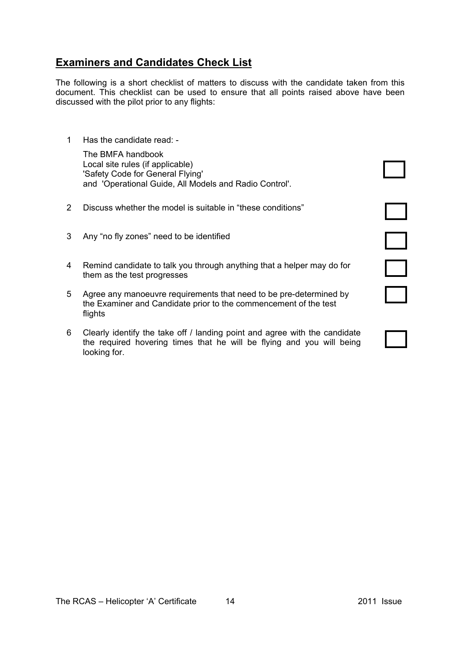### **Examiners and Candidates Check List**

The following is a short checklist of matters to discuss with the candidate taken from this document. This checklist can be used to ensure that all points raised above have been discussed with the pilot prior to any flights:

1 Has the candidate read: -

 The BMFA handbook Local site rules (if applicable) 'Safety Code for General Flying' and 'Operational Guide, All Models and Radio Control'.

- 2 Discuss whether the model is suitable in "these conditions"
- 3 Any "no fly zones" need to be identified
- 4 Remind candidate to talk you through anything that a helper may do for them as the test progresses
- 5 Agree any manoeuvre requirements that need to be pre-determined by the Examiner and Candidate prior to the commencement of the test flights
- 6 Clearly identify the take off / landing point and agree with the candidate the required hovering times that he will be flying and you will being looking for.





 $\Box$ 

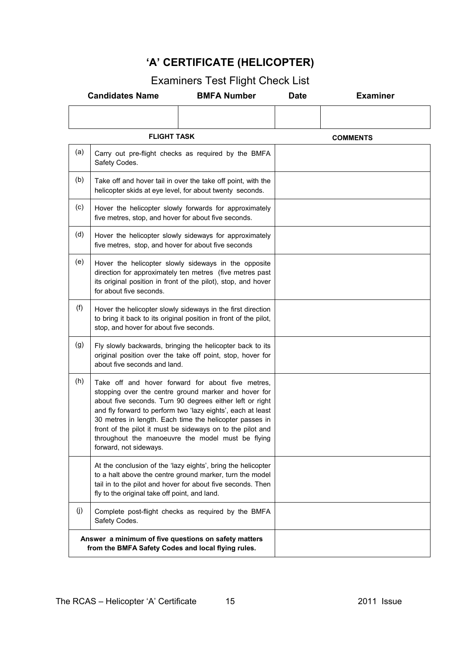# **'A' CERTIFICATE (HELICOPTER)**

# Examiners Test Flight Check List

|                    | <b>Candidates Name</b>                                                                                                                                                     | <b>BMFA Number</b>                                                                                                                                                                                                                                                                                                                                                                                                 | <b>Date</b>     | <b>Examiner</b> |
|--------------------|----------------------------------------------------------------------------------------------------------------------------------------------------------------------------|--------------------------------------------------------------------------------------------------------------------------------------------------------------------------------------------------------------------------------------------------------------------------------------------------------------------------------------------------------------------------------------------------------------------|-----------------|-----------------|
|                    |                                                                                                                                                                            |                                                                                                                                                                                                                                                                                                                                                                                                                    |                 |                 |
| <b>FLIGHT TASK</b> |                                                                                                                                                                            |                                                                                                                                                                                                                                                                                                                                                                                                                    | <b>COMMENTS</b> |                 |
| (a)                | Carry out pre-flight checks as required by the BMFA<br>Safety Codes.                                                                                                       |                                                                                                                                                                                                                                                                                                                                                                                                                    |                 |                 |
| (b)                | Take off and hover tail in over the take off point, with the<br>helicopter skids at eye level, for about twenty seconds.                                                   |                                                                                                                                                                                                                                                                                                                                                                                                                    |                 |                 |
| (c)                | Hover the helicopter slowly forwards for approximately<br>five metres, stop, and hover for about five seconds.                                                             |                                                                                                                                                                                                                                                                                                                                                                                                                    |                 |                 |
| (d)                | Hover the helicopter slowly sideways for approximately<br>five metres, stop, and hover for about five seconds                                                              |                                                                                                                                                                                                                                                                                                                                                                                                                    |                 |                 |
| (e)                | for about five seconds.                                                                                                                                                    | Hover the helicopter slowly sideways in the opposite<br>direction for approximately ten metres (five metres past<br>its original position in front of the pilot), stop, and hover                                                                                                                                                                                                                                  |                 |                 |
| (f)                | Hover the helicopter slowly sideways in the first direction<br>to bring it back to its original position in front of the pilot,<br>stop, and hover for about five seconds. |                                                                                                                                                                                                                                                                                                                                                                                                                    |                 |                 |
| (g)                | Fly slowly backwards, bringing the helicopter back to its<br>original position over the take off point, stop, hover for<br>about five seconds and land.                    |                                                                                                                                                                                                                                                                                                                                                                                                                    |                 |                 |
| (h)                | forward, not sideways.                                                                                                                                                     | Take off and hover forward for about five metres,<br>stopping over the centre ground marker and hover for<br>about five seconds. Turn 90 degrees either left or right<br>and fly forward to perform two 'lazy eights', each at least<br>30 metres in length. Each time the helicopter passes in<br>front of the pilot it must be sideways on to the pilot and<br>throughout the manoeuvre the model must be flying |                 |                 |
|                    | fly to the original take off point, and land.                                                                                                                              | At the conclusion of the 'lazy eights', bring the helicopter<br>to a halt above the centre ground marker, turn the model<br>tail in to the pilot and hover for about five seconds. Then                                                                                                                                                                                                                            |                 |                 |
| (j)                | Safety Codes.                                                                                                                                                              | Complete post-flight checks as required by the BMFA                                                                                                                                                                                                                                                                                                                                                                |                 |                 |
|                    | Answer a minimum of five questions on safety matters<br>from the BMFA Safety Codes and local flying rules.                                                                 |                                                                                                                                                                                                                                                                                                                                                                                                                    |                 |                 |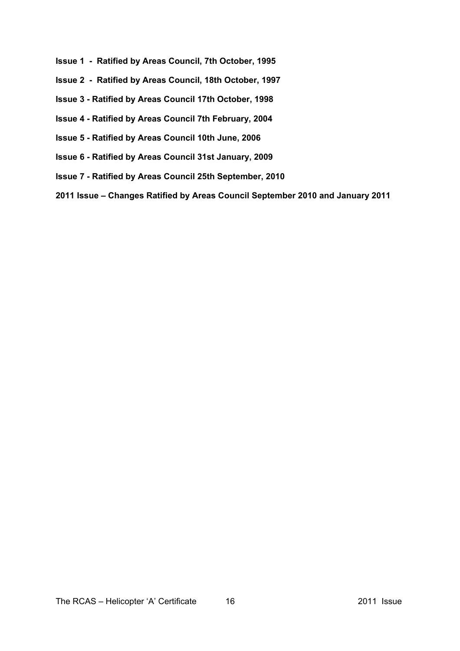- **Issue 1 Ratified by Areas Council, 7th October, 1995**
- **Issue 2 Ratified by Areas Council, 18th October, 1997**
- **Issue 3 Ratified by Areas Council 17th October, 1998**
- **Issue 4 Ratified by Areas Council 7th February, 2004**
- **Issue 5 Ratified by Areas Council 10th June, 2006**
- **Issue 6 Ratified by Areas Council 31st January, 2009**
- **Issue 7 Ratified by Areas Council 25th September, 2010**
- **2011 Issue Changes Ratified by Areas Council September 2010 and January 2011**